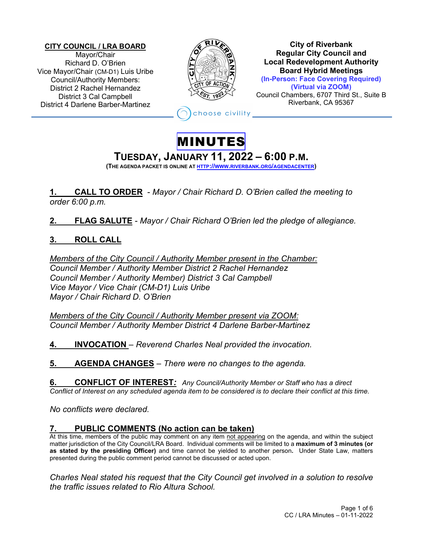**CITY COUNCIL / LRA BOARD** Mayor/Chair Richard D. O'Brien Vice Mayor/Chair (CM-D1) Luis Uribe Council/Authority Members: District 2 Rachel Hernandez District 3 Cal Campbell District 4 Darlene Barber-Martinez



**City of Riverbank Regular City Council and Local Redevelopment Authority Board Hybrid Meetings (In-Person: Face Covering Required) (Virtual via ZOOM)** Council Chambers, 6707 Third St., Suite B Riverbank, CA 95367

hoose civility

## MINUTES

# **TUESDAY, JANUARY 11, <sup>2022</sup> – 6:00 P.M. (THE AGENDA PACKET IS ONLINE AT HTTP://WWW.RIVERBANK.ORG/AGENDACENTER)**

**1. CALL TO ORDER** - *Mayor / Chair Richard D. O'Brien called the meeting to order 6:00 p.m.*

**2. FLAG SALUTE** - *Mayor / Chair Richard O'Brien led the pledge of allegiance.*

## **3. ROLL CALL**

*Members of the City Council / Authority Member present in the Chamber: Council Member / Authority Member District 2 Rachel Hernandez Council Member / Authority Member) District 3 Cal Campbell Vice Mayor / Vice Chair (CM-D1) Luis Uribe Mayor / Chair Richard D. O'Brien*

*Members of the City Council / Authority Member present via ZOOM: Council Member / Authority Member District 4 Darlene Barber-Martinez*

**4. INVOCATION** – *Reverend Charles Neal provided the invocation.*

**5. AGENDA CHANGES** *– There were no changes to the agenda.* 

**6. CONFLICT OF INTEREST***: Any Council/Authority Member or Staff who has a direct Conflict of Interest on any scheduled agenda item to be considered is to declare their conflict at this time.*

*No conflicts were declared.* 

## **7. PUBLIC COMMENTS (No action can be taken)**

At this time, members of the public may comment on any item not appearing on the agenda, and within the subject matter jurisdiction of the City Council/LRA Board. Individual comments will be limited to a **maximum of 3 minutes (or as stated by the presiding Officer)** and time cannot be yielded to another person**.** Under State Law, matters presented during the public comment period cannot be discussed or acted upon.

*Charles Neal stated his request that the City Council get involved in a solution to resolve the traffic issues related to Rio Altura School.*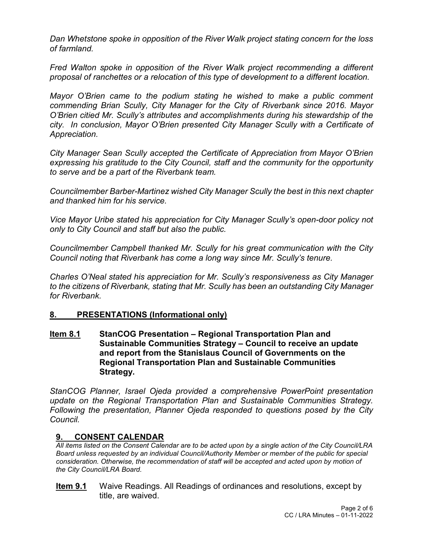*Dan Whetstone spoke in opposition of the River Walk project stating concern for the loss of farmland.*

*Fred Walton spoke in opposition of the River Walk project recommending a different proposal of ranchettes or a relocation of this type of development to a different location.*

*Mayor O'Brien came to the podium stating he wished to make a public comment commending Brian Scully, City Manager for the City of Riverbank since 2016. Mayor O'Brien citied Mr. Scully's attributes and accomplishments during his stewardship of the city. In conclusion, Mayor O'Brien presented City Manager Scully with a Certificate of Appreciation.*

*City Manager Sean Scully accepted the Certificate of Appreciation from Mayor O'Brien expressing his gratitude to the City Council, staff and the community for the opportunity to serve and be a part of the Riverbank team.*

*Councilmember Barber-Martinez wished City Manager Scully the best in this next chapter and thanked him for his service.*

*Vice Mayor Uribe stated his appreciation for City Manager Scully's open-door policy not only to City Council and staff but also the public.*

*Councilmember Campbell thanked Mr. Scully for his great communication with the City Council noting that Riverbank has come a long way since Mr. Scully's tenure.*

*Charles O'Neal stated his appreciation for Mr. Scully's responsiveness as City Manager to the citizens of Riverbank, stating that Mr. Scully has been an outstanding City Manager for Riverbank.*

#### **8. PRESENTATIONS (Informational only)**

**Item 8.1 StanCOG Presentation – Regional Transportation Plan and Sustainable Communities Strategy – Council to receive an update and report from the Stanislaus Council of Governments on the Regional Transportation Plan and Sustainable Communities Strategy.**

*StanCOG Planner, Israel Ojeda provided a comprehensive PowerPoint presentation update on the Regional Transportation Plan and Sustainable Communities Strategy. Following the presentation, Planner Ojeda responded to questions posed by the City Council.*

#### **9. CONSENT CALENDAR**

*All items listed on the Consent Calendar are to be acted upon by a single action of the City Council/LRA Board unless requested by an individual Council/Authority Member or member of the public for special consideration. Otherwise, the recommendation of staff will be accepted and acted upon by motion of the City Council/LRA Board.*

**Item 9.1**Waive Readings. All Readings of ordinances and resolutions, except by title, are waived.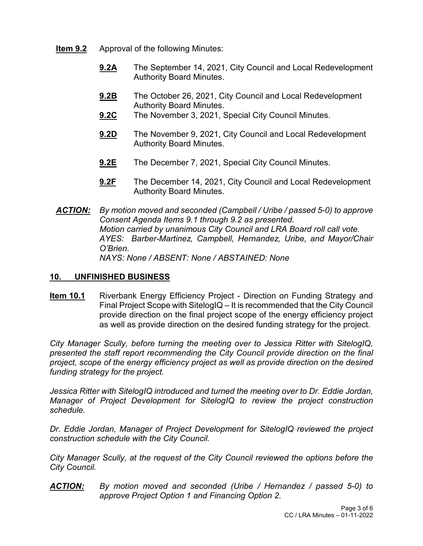- **Item 9.2** Approval of the following Minutes:
	- **9.2A** The September 14, 2021, City Council and Local Redevelopment Authority Board Minutes.
	- **9.2B** The October 26, 2021, City Council and Local Redevelopment Authority Board Minutes.
	- **9.2C** The November 3, 2021, Special City Council Minutes.
	- **9.2D** The November 9, 2021, City Council and Local Redevelopment Authority Board Minutes.
	- **9.2E** The December 7, 2021, Special City Council Minutes.
	- **9.2F** The December 14, 2021, City Council and Local Redevelopment Authority Board Minutes.
- *ACTION: By motion moved and seconded (Campbell / Uribe / passed 5-0) to approve Consent Agenda Items 9.1 through 9.2 as presented. Motion carried by unanimous City Council and LRA Board roll call vote. AYES: Barber-Martinez, Campbell, Hernandez, Uribe, and Mayor/Chair O'Brien. NAYS: None / ABSENT: None / ABSTAINED: None*

### **10. UNFINISHED BUSINESS**

**Item 10.1** Riverbank Energy Efficiency Project - Direction on Funding Strategy and Final Project Scope with SitelogIQ – It is recommended that the City Council provide direction on the final project scope of the energy efficiency project as well as provide direction on the desired funding strategy for the project.

*City Manager Scully, before turning the meeting over to Jessica Ritter with SitelogIQ, presented the staff report recommending the City Council provide direction on the final project, scope of the energy efficiency project as well as provide direction on the desired funding strategy for the project.*

*Jessica Ritter with SitelogIQ introduced and turned the meeting over to Dr. Eddie Jordan, Manager of Project Development for SitelogIQ to review the project construction schedule.*

*Dr. Eddie Jordan, Manager of Project Development for SitelogIQ reviewed the project construction schedule with the City Council.*

*City Manager Scully, at the request of the City Council reviewed the options before the City Council.*

*ACTION: By motion moved and seconded (Uribe / Hernandez / passed 5-0) to approve Project Option 1 and Financing Option 2.*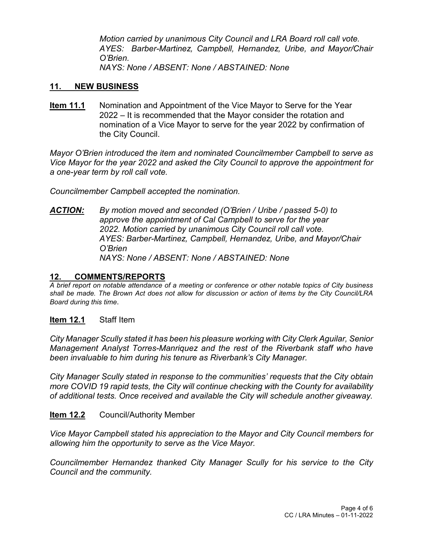*Motion carried by unanimous City Council and LRA Board roll call vote. AYES: Barber-Martinez, Campbell, Hernandez, Uribe, and Mayor/Chair O'Brien. NAYS: None / ABSENT: None / ABSTAINED: None*

#### **11. NEW BUSINESS**

**Item 11.1** Nomination and Appointment of the Vice Mayor to Serve for the Year 2022 – It is recommended that the Mayor consider the rotation and nomination of a Vice Mayor to serve for the year 2022 by confirmation of the City Council.

*Mayor O'Brien introduced the item and nominated Councilmember Campbell to serve as Vice Mayor for the year 2022 and asked the City Council to approve the appointment for a one-year term by roll call vote.*

*Councilmember Campbell accepted the nomination.*

*ACTION: By motion moved and seconded (O'Brien / Uribe / passed 5-0) to approve the appointment of Cal Campbell to serve for the year 2022. Motion carried by unanimous City Council roll call vote. AYES: Barber-Martinez, Campbell, Hernandez, Uribe, and Mayor/Chair O'Brien NAYS: None / ABSENT: None / ABSTAINED: None* 

#### **12. COMMENTS/REPORTS**

*A brief report on notable attendance of a meeting or conference or other notable topics of City business shall be made. The Brown Act does not allow for discussion or action of items by the City Council/LRA Board during this time*.

#### **Item 12.1** Staff Item

*City Manager Scully stated it has been his pleasure working with City Clerk Aguilar, Senior Management Analyst Torres-Manriquez and the rest of the Riverbank staff who have been invaluable to him during his tenure as Riverbank's City Manager.*

*City Manager Scully stated in response to the communities' requests that the City obtain more COVID 19 rapid tests, the City will continue checking with the County for availability of additional tests. Once received and available the City will schedule another giveaway.*

#### **Item 12.2** Council/Authority Member

*Vice Mayor Campbell stated his appreciation to the Mayor and City Council members for allowing him the opportunity to serve as the Vice Mayor.*

*Councilmember Hernandez thanked City Manager Scully for his service to the City Council and the community.*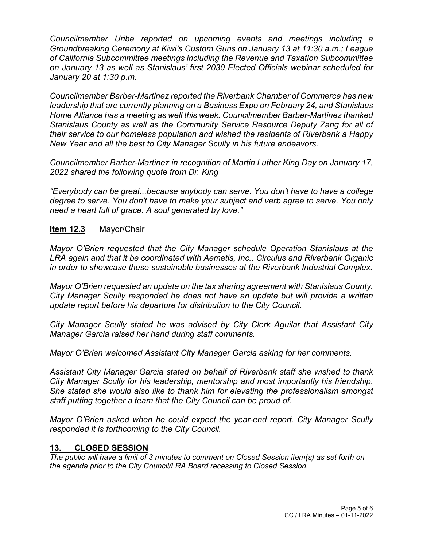*Councilmember Uribe reported on upcoming events and meetings including a Groundbreaking Ceremony at Kiwi's Custom Guns on January 13 at 11:30 a.m.; League of California Subcommittee meetings including the Revenue and Taxation Subcommittee on January 13 as well as Stanislaus' first 2030 Elected Officials webinar scheduled for January 20 at 1:30 p.m.*

*Councilmember Barber-Martinez reported the Riverbank Chamber of Commerce has new leadership that are currently planning on a Business Expo on February 24, and Stanislaus Home Alliance has a meeting as well this week. Councilmember Barber-Martinez thanked Stanislaus County as well as the Community Service Resource Deputy Zang for all of their service to our homeless population and wished the residents of Riverbank a Happy New Year and all the best to City Manager Scully in his future endeavors.*

*Councilmember Barber-Martinez in recognition of Martin Luther King Day on January 17, 2022 shared the following quote from Dr. King*

*"Everybody can be great...because anybody can serve. You don't have to have a college degree to serve. You don't have to make your subject and verb agree to serve. You only need a heart full of grace. A soul generated by love."*

#### **Item 12.3** Mayor/Chair

*Mayor O'Brien requested that the City Manager schedule Operation Stanislaus at the LRA again and that it be coordinated with Aemetis, Inc., Circulus and Riverbank Organic in order to showcase these sustainable businesses at the Riverbank Industrial Complex.* 

*Mayor O'Brien requested an update on the tax sharing agreement with Stanislaus County. City Manager Scully responded he does not have an update but will provide a written update report before his departure for distribution to the City Council.*

*City Manager Scully stated he was advised by City Clerk Aguilar that Assistant City Manager Garcia raised her hand during staff comments.*

*Mayor O'Brien welcomed Assistant City Manager Garcia asking for her comments.*

*Assistant City Manager Garcia stated on behalf of Riverbank staff she wished to thank City Manager Scully for his leadership, mentorship and most importantly his friendship. She stated she would also like to thank him for elevating the professionalism amongst staff putting together a team that the City Council can be proud of.* 

*Mayor O'Brien asked when he could expect the year-end report. City Manager Scully responded it is forthcoming to the City Council.*

#### **13. CLOSED SESSION**

*The public will have a limit of 3 minutes to comment on Closed Session item(s) as set forth on the agenda prior to the City Council/LRA Board recessing to Closed Session.*